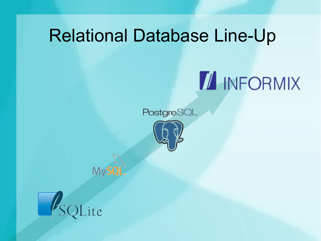### Relational Database Line-Up

# **I INFORMIX**







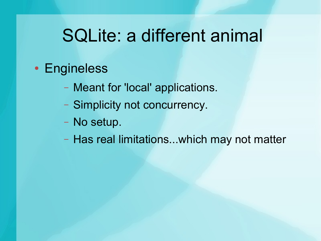#### SQLite: a different animal

- Engineless
	- Meant for 'local' applications.
	- Simplicity not concurrency.
	- No setup.
	- Has real limitations...which may not matter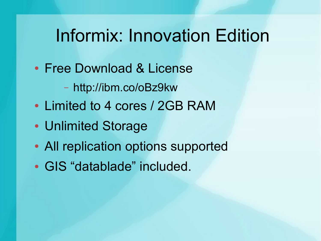#### Informix: Innovation Edition

- Free Download & License
	- http://ibm.co/oBz9kw
- Limited to 4 cores / 2GB RAM
- Unlimited Storage
- All replication options supported
- GIS "datablade" included.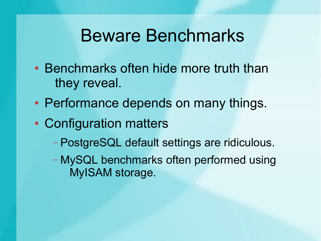#### Beware Benchmarks

- Benchmarks often hide more truth than they reveal.
- Performance depends on many things.
- Configuration matters
	- PostgreSQL default settings are ridiculous.
	- MySQL benchmarks often performed using MyISAM storage.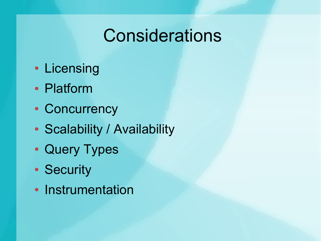#### Considerations

- Licensing
- Platform
- Concurrency
- Scalability / Availability
- Query Types
- Security
- Instrumentation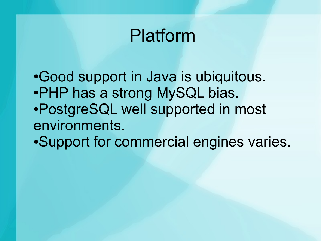#### Platform

•Good support in Java is ubiquitous. •PHP has a strong MySQL bias. ●PostgreSQL well supported in most environments. ●Support for commercial engines varies.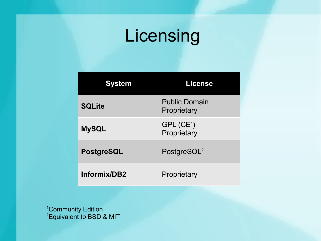## Licensing

| vstem             | <b>License</b>                      |
|-------------------|-------------------------------------|
| <b>SQLite</b>     | <b>Public Domain</b><br>Proprietary |
| <b>MySQL</b>      | $GPL$ ( $CE1$ )<br>Proprietary      |
| <b>PostgreSQL</b> | PostgreSQL <sup>2</sup>             |
| Informix/DB2      | Proprietary                         |

<sup>1</sup>Community Edition  ${}^{2}$ Equivalent to BSD & MIT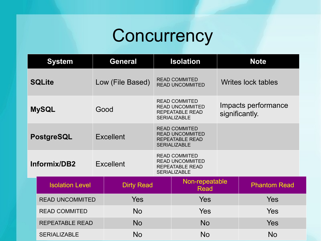# **Concurrency**

|              | <b>System</b>                                                                                                                                                   |  | <b>General</b>   | <b>Isolation</b>                                                     |                                                                                                 | <b>Note</b> |                                       |  |
|--------------|-----------------------------------------------------------------------------------------------------------------------------------------------------------------|--|------------------|----------------------------------------------------------------------|-------------------------------------------------------------------------------------------------|-------------|---------------------------------------|--|
|              | <b>SQLite</b>                                                                                                                                                   |  | Low (File Based) | <b>READ COMMITED</b><br>Writes lock tables<br><b>READ UNCOMMITED</b> |                                                                                                 |             |                                       |  |
|              | <b>MySQL</b><br>Good                                                                                                                                            |  |                  |                                                                      | <b>READ COMMITED</b><br><b>READ UNCOMMITED</b><br><b>REPEATABLE READ</b><br><b>SERIALIZABLE</b> |             | Impacts performance<br>significantly. |  |
| PostgreSQL   |                                                                                                                                                                 |  | <b>Excellent</b> |                                                                      | <b>READ COMMITED</b><br><b>READ UNCOMMITED</b><br><b>REPEATABLE READ</b><br><b>SERIALIZABLE</b> |             |                                       |  |
| Informix/DB2 |                                                                                                                                                                 |  | <b>Excellent</b> |                                                                      | <b>READ COMMITED</b><br><b>READ UNCOMMITED</b><br><b>REPEATABLE READ</b><br><b>SERIALIZABLE</b> |             |                                       |  |
|              | <b>Isolation Level</b><br><b>Dirty Read</b><br><b>Yes</b><br><b>READ UNCOMMITED</b><br><b>No</b><br><b>READ COMMITED</b><br><b>No</b><br><b>REPEATABLE READ</b> |  |                  |                                                                      | Non-repeatable<br>Read                                                                          |             | <b>Phantom Read</b>                   |  |
|              |                                                                                                                                                                 |  | Yes              |                                                                      |                                                                                                 | <b>Yes</b>  |                                       |  |
|              |                                                                                                                                                                 |  |                  | <b>Yes</b>                                                           |                                                                                                 |             | <b>Yes</b>                            |  |
|              |                                                                                                                                                                 |  | No.              |                                                                      | Yes                                                                                             |             |                                       |  |
|              | <b>SERIALIZABLE</b>                                                                                                                                             |  | <b>No</b>        |                                                                      | <b>No</b>                                                                                       |             | <b>No</b>                             |  |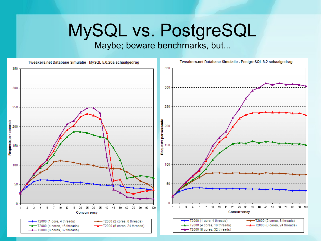#### MySQL vs. PostgreSQL

#### Maybe; beware benchmarks, but...

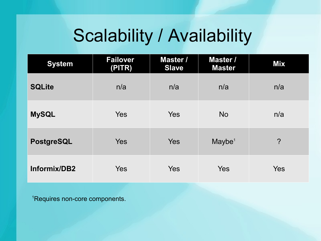### Scalability / Availability

| <b>System</b> | <b>Failover</b><br>(PITR) | <b>Master /</b><br><b>Slave</b> | Master /<br><b>Master</b> | <b>Mix</b> |
|---------------|---------------------------|---------------------------------|---------------------------|------------|
| <b>SQLite</b> | n/a                       | n/a                             | n/a                       | n/a        |
| <b>MySQL</b>  | <b>Yes</b>                | Yes                             | <b>No</b>                 | n/a        |
| PostgreSQL    | Yes                       | Yes                             | Maybe <sup>1</sup>        | $\ddot{?}$ |
| Informix/DB2  | Yes                       | <b>Yes</b>                      | Yes                       | <b>Yes</b> |

<sup>1</sup>Requires non-core components.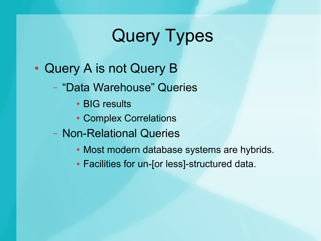### Query Types

- Query A is not Query B
	- "Data Warehouse" Queries
		- BIG results
		- Complex Correlations
	- Non-Relational Queries
		- Most modern database systems are hybrids.
		- Facilities for un-[or less]-structured data.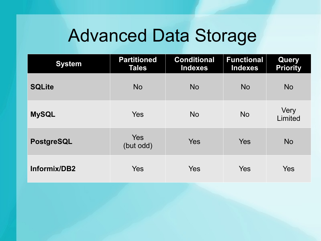#### Advanced Data Storage

| <b>System</b>     | <b>Partitioned</b><br><b>Tales</b> | <b>Conditional</b><br><b>Indexes</b> | <b>Functional</b><br><b>Indexes</b> | <b>Query</b><br><b>Priority</b> |
|-------------------|------------------------------------|--------------------------------------|-------------------------------------|---------------------------------|
| <b>SQLite</b>     | <b>No</b>                          | <b>No</b>                            | <b>No</b>                           | <b>No</b>                       |
| <b>MySQL</b>      | <b>Yes</b>                         | <b>No</b>                            | <b>No</b>                           | Very<br>Limited                 |
| <b>PostgreSQL</b> | <b>Yes</b><br>(but odd)            | <b>Yes</b>                           | <b>Yes</b>                          | <b>No</b>                       |
| Informix/DB2      | <b>Yes</b>                         | <b>Yes</b>                           | Yes                                 | Yes                             |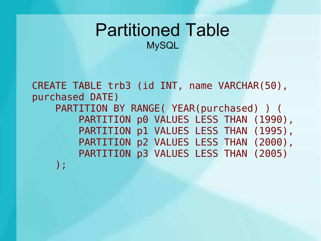#### Partitioned Table **MySQL**

CREATE TABLE trb3 (id INT, name VARCHAR(50), purchased DATE) PARTITION BY RANGE( YEAR(purchased) ) ( PARTITION p0 VALUES LESS THAN (1990), PARTITION p1 VALUES LESS THAN (1995), PARTITION p2 VALUES LESS THAN (2000), PARTITION p3 VALUES LESS THAN (2005) );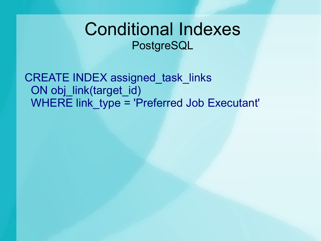#### Conditional Indexes PostgreSQL

CREATE INDEX assigned task links ON obj\_link(target\_id) WHERE link type = 'Preferred Job Executant'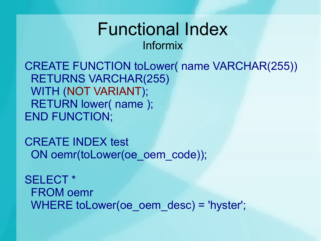#### Functional Index Informix

CREATE FUNCTION toLower( name VARCHAR(255)) RETURNS VARCHAR(255) WITH (NOT VARIANT); RETURN lower( name ); END FUNCTION;

CREATE INDEX test ON oemr(toLower(oe\_oem\_code));

SELECT \* FROM oemr WHERE toLower(oe\_oem\_desc) = 'hyster';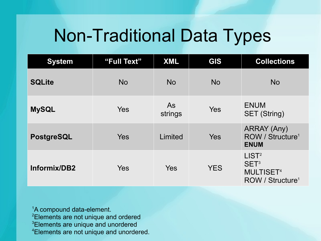#### Non-Traditional Data Types

| <b>System</b>     | "Full Text" | <b>XML</b>    | GIS        | <b>Collections</b>                                                                                   |
|-------------------|-------------|---------------|------------|------------------------------------------------------------------------------------------------------|
| <b>SQLite</b>     | <b>No</b>   | <b>No</b>     | <b>No</b>  | <b>No</b>                                                                                            |
| <b>MySQL</b>      | <b>Yes</b>  | As<br>strings | Yes        | <b>ENUM</b><br><b>SET (String)</b>                                                                   |
| <b>PostgreSQL</b> | <b>Yes</b>  | Limited       | Yes        | <b>ARRAY (Any)</b><br>ROW / Structure <sup>1</sup><br><b>ENUM</b>                                    |
| Informix/DB2      | Yes         | <b>Yes</b>    | <b>YES</b> | LIST <sup>2</sup><br>SET <sup>3</sup><br><b>MULTISET<sup>4</sup></b><br>ROW / Structure <sup>1</sup> |

<sup>1</sup>A compound data-element. <sup>2</sup>Elements are not unique and ordered <sup>3</sup>Elements are unique and unordered 4Elements are not unique and unordered.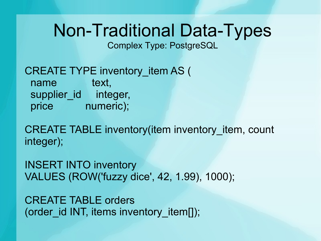### Non-Traditional Data-Types

Complex Type: PostgreSQL

CREATE TYPE inventory item AS ( name text, supplier\_id integer, price numeric);

CREATE TABLE inventory(item inventory item, count integer);

INSERT INTO inventory VALUES (ROW('fuzzy dice', 42, 1.99), 1000);

CREATE TABLE orders (order id INT, items inventory item[]);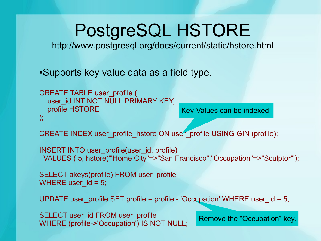### PostgreSQL HSTORE

http://www.postgresql.org/docs/current/static/hstore.html

•Supports key value data as a field type.

```
Key-Values can be indexed.
Key-Values CREATE TABLE user_profile (
  user_id INT NOT NULL PRIMARY KEY,
   profile HSTORE
);
```
CREATE INDEX user\_profile\_hstore ON user\_profile USING GIN (profile);

```
INSERT INTO user_profile(user_id, profile)
  VALUES ( 5, hstore('"Home City"=>"San Francisco","Occupation"=>"Sculptor"');
```
SELECT akeys(profile) FROM user\_profile WHERE user  $id = 5$ ;

UPDATE user\_profile SET profile = profile - 'Occupation' WHERE user\_id = 5;

SELECT user\_id FROM user\_profile WHERE (profile->'Occupation') IS NOT NULL;

Remove the "Occupation" key.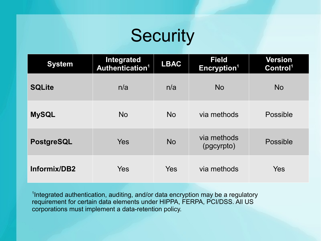### **Security**

| <b>System</b>     | Integrated<br>Authentication <sup>1</sup> | <b>LBAC</b> | <b>Field</b><br>Encryption <sup>1</sup> | <b>Version</b><br>Control <sup>1</sup> |
|-------------------|-------------------------------------------|-------------|-----------------------------------------|----------------------------------------|
| <b>SQLite</b>     | n/a                                       | n/a         | <b>No</b>                               | <b>No</b>                              |
| <b>MySQL</b>      | <b>No</b>                                 | <b>No</b>   | via methods                             | <b>Possible</b>                        |
| <b>PostgreSQL</b> | <b>Yes</b>                                | <b>No</b>   | via methods<br>(pgcyrpto)               | Possible                               |
| Informix/DB2      | <b>Yes</b>                                | <b>Yes</b>  | via methods                             | <b>Yes</b>                             |

<sup>1</sup>Integrated authentication, auditing, and/or data encryption may be a regulatory requirement for certain data elements under HIPPA, FERPA, PCI/DSS. All US corporations must implement a data-retention policy.